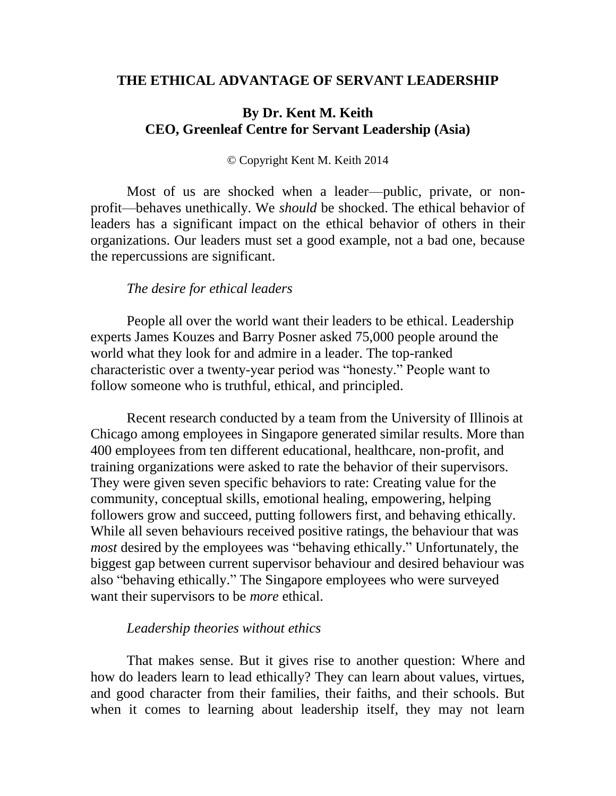### **THE ETHICAL ADVANTAGE OF SERVANT LEADERSHIP**

### **By Dr. Kent M. Keith CEO, Greenleaf Centre for Servant Leadership (Asia)**

#### © Copyright Kent M. Keith 2014

Most of us are shocked when a leader—public, private, or nonprofit—behaves unethically. We *should* be shocked. The ethical behavior of leaders has a significant impact on the ethical behavior of others in their organizations. Our leaders must set a good example, not a bad one, because the repercussions are significant.

#### *The desire for ethical leaders*

People all over the world want their leaders to be ethical. Leadership experts James Kouzes and Barry Posner asked 75,000 people around the world what they look for and admire in a leader. The top-ranked characteristic over a twenty-year period was "honesty." People want to follow someone who is truthful, ethical, and principled.

Recent research conducted by a team from the University of Illinois at Chicago among employees in Singapore generated similar results. More than 400 employees from ten different educational, healthcare, non-profit, and training organizations were asked to rate the behavior of their supervisors. They were given seven specific behaviors to rate: Creating value for the community, conceptual skills, emotional healing, empowering, helping followers grow and succeed, putting followers first, and behaving ethically. While all seven behaviours received positive ratings, the behaviour that was *most* desired by the employees was "behaving ethically." Unfortunately, the biggest gap between current supervisor behaviour and desired behaviour was also "behaving ethically." The Singapore employees who were surveyed want their supervisors to be *more* ethical.

### *Leadership theories without ethics*

That makes sense. But it gives rise to another question: Where and how do leaders learn to lead ethically? They can learn about values, virtues, and good character from their families, their faiths, and their schools. But when it comes to learning about leadership itself, they may not learn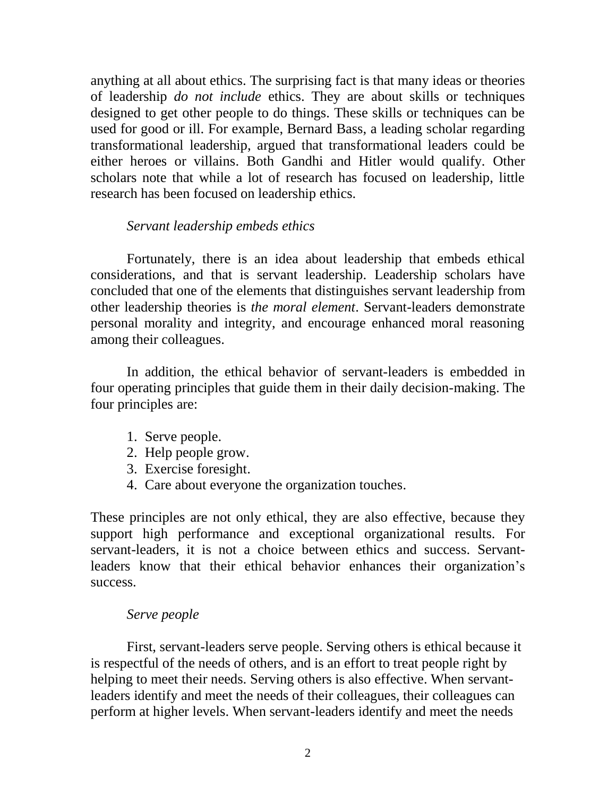anything at all about ethics. The surprising fact is that many ideas or theories of leadership *do not include* ethics. They are about skills or techniques designed to get other people to do things. These skills or techniques can be used for good or ill. For example, Bernard Bass, a leading scholar regarding transformational leadership, argued that transformational leaders could be either heroes or villains. Both Gandhi and Hitler would qualify. Other scholars note that while a lot of research has focused on leadership, little research has been focused on leadership ethics.

### *Servant leadership embeds ethics*

Fortunately, there is an idea about leadership that embeds ethical considerations, and that is servant leadership. Leadership scholars have concluded that one of the elements that distinguishes servant leadership from other leadership theories is *the moral element*. Servant-leaders demonstrate personal morality and integrity, and encourage enhanced moral reasoning among their colleagues.

In addition, the ethical behavior of servant-leaders is embedded in four operating principles that guide them in their daily decision-making. The four principles are:

- 1. Serve people.
- 2. Help people grow.
- 3. Exercise foresight.
- 4. Care about everyone the organization touches.

These principles are not only ethical, they are also effective, because they support high performance and exceptional organizational results. For servant-leaders, it is not a choice between ethics and success. Servantleaders know that their ethical behavior enhances their organization's success.

# *Serve people*

First, servant-leaders serve people. Serving others is ethical because it is respectful of the needs of others, and is an effort to treat people right by helping to meet their needs. Serving others is also effective. When servantleaders identify and meet the needs of their colleagues, their colleagues can perform at higher levels. When servant-leaders identify and meet the needs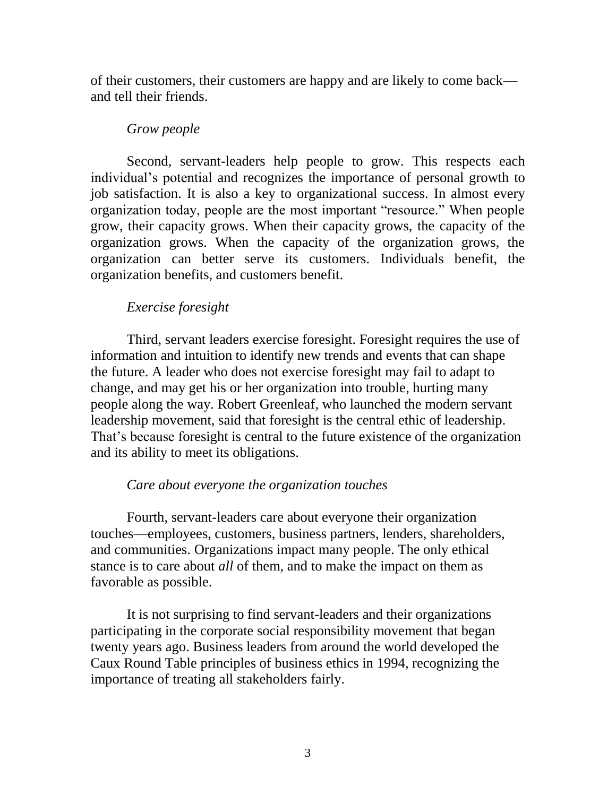of their customers, their customers are happy and are likely to come back and tell their friends.

### *Grow people*

Second, servant-leaders help people to grow. This respects each individual's potential and recognizes the importance of personal growth to job satisfaction. It is also a key to organizational success. In almost every organization today, people are the most important "resource." When people grow, their capacity grows. When their capacity grows, the capacity of the organization grows. When the capacity of the organization grows, the organization can better serve its customers. Individuals benefit, the organization benefits, and customers benefit.

# *Exercise foresight*

Third, servant leaders exercise foresight. Foresight requires the use of information and intuition to identify new trends and events that can shape the future. A leader who does not exercise foresight may fail to adapt to change, and may get his or her organization into trouble, hurting many people along the way. Robert Greenleaf, who launched the modern servant leadership movement, said that foresight is the central ethic of leadership. That's because foresight is central to the future existence of the organization and its ability to meet its obligations.

# *Care about everyone the organization touches*

Fourth, servant-leaders care about everyone their organization touches—employees, customers, business partners, lenders, shareholders, and communities. Organizations impact many people. The only ethical stance is to care about *all* of them, and to make the impact on them as favorable as possible.

It is not surprising to find servant-leaders and their organizations participating in the corporate social responsibility movement that began twenty years ago. Business leaders from around the world developed the Caux Round Table principles of business ethics in 1994, recognizing the importance of treating all stakeholders fairly.